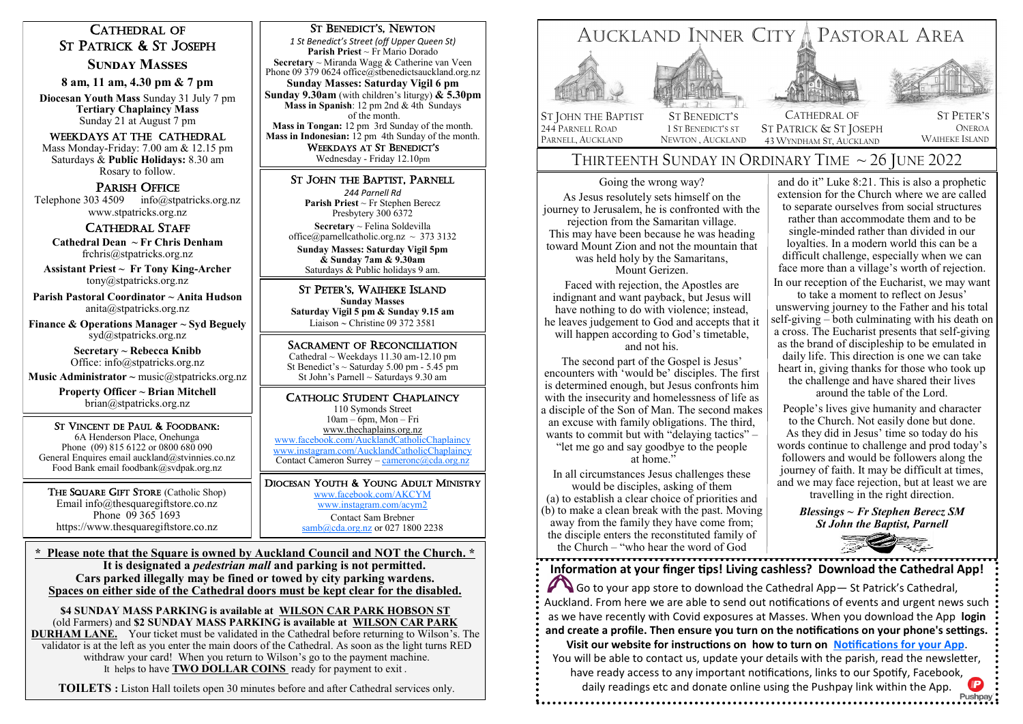# CATHEDRAL OF ST PATRICK & ST JOSEPH

**Sunday Masses** 

**8 am, 11 am, 4.30 pm & 7 pm**

**Diocesan Youth Mass** Sunday 31 July 7 pm **Tertiary Chaplaincy Mass**  Sunday 21 at August 7 pm

### Weekdays at The Cathedral

Mass Monday-Friday: 7.00 am & 12.15 pm Saturdays & **Public Holidays:** 8.30 am Rosary to follow.

## PARISH OFFICE

Telephone 303 4509 info@stpatricks.org.nz www.stpatricks.org.nz

### CATHEDRAL STAFF

 **Cathedral Dean ~ Fr Chris Denham**  frchris@stpatricks.org.nz

**Assistant Priest ~ Fr Tony King-Archer** tony@stpatricks.org.nz

**Parish Pastoral Coordinator ~ Anita Hudson** anita@stpatricks.org.nz

**Finance & Operations Manager ~ Syd Beguely**  syd@stpatricks.org.nz

> **Secretary ~ Rebecca Knibb**  Office: info@stpatricks.org.nz

**Music Administrator ~ music@stpatricks.org.nz** 

**Property Officer ~ Brian Mitchell**  brian@stpatricks.org.nz

ST VINCENT DE PAUL & FOODBANK: 6A Henderson Place, Onehunga Phone (09) 815 6122 or 0800 680 090 General Enquires email auckland@stvinnies.co.nz Food Bank email foodbank@svdpak.org.nz

THE SQUARE GIFT STORE (Catholic Shop) Email info@thesquaregiftstore.co.nz Phone 09 365 1693 https://www.thesquaregiftstore.co.nz

### ST BENEDICT'S, NEWTON

*1 St Benedict's Street (off Upper Queen St)* **Parish Priest** ~ Fr Mario Dorado **Secretary** ~ Miranda Wagg & Catherine van Veen Phone 09 379 0624 office@stbenedictsauckland.org.nz **Sunday Masses: Saturday Vigil 6 pm Sunday 9.30am** (with children's liturgy) **& 5.30pm Mass in Spanish**: 12 pm 2nd & 4th Sundays of the month.

**Mass in Tongan:** 12 pm 3rd Sunday of the month. **Mass in Indonesian:** 12 pm 4th Sunday of the month. WEEKDAYS AT ST BENEDICT'S

Wednesday - Friday 12.10pm

## ST JOHN THE BAPTIST, PARNELL

*244 Parnell Rd* **Parish Priest** ~ Fr Stephen Berecz Presbytery 300 6372 **Secretary** ~ Felina Soldevilla office@parnellcatholic.org.nz  $\sim$  373 3132 **Sunday Masses: Saturday Vigil 5pm & Sunday 7am & 9.30am** Saturdays & Public holidays 9 am.

ST PETER'S, WAIHEKE ISLAND **Sunday Masses Saturday Vigil 5 pm & Sunday 9.15 am** Liaison  $\sim$  Christine 09 372 3581

SACRAMENT OF RECONCILIATION Cathedral  $\sim$  Weekdays 11.30 am-12.10 pm St Benedict's  $\sim$  Saturday 5.00 pm - 5.45 pm St John's Parnell  $\sim$  Saturdays 9.30 am

### CATHOLIC STUDENT CHAPLAINCY

110 Symonds Street 10am – 6pm, Mon – Fri [www.thechaplains.org.nz](http://www.actc.net.nz/)  [www.facebook.com/AucklandCatholicChaplaincy](http://www.facebook.com/AucklandCatholicChaplaincy) [www.instagram.com/AucklandCatholicChaplaincy](http://www.instagram.com/AucklandCatholicChaplaincy) Contact Cameron Surrey – [cameronc@cda.org.nz](mailto:cameronc@cda.org.nz)

DIOCESAN YOUTH & YOUNG ADULT MINISTRY [www.facebook.com/AKCYM](http://www.facebook.com/AKCYM) [www.instagram.com/acym2](http://www.instagram.com/acym2) Contact Sam Brebner [samb@cda.org.nz](mailto:samb@cda.org.nz) or 027 1800 2238

**\* Please note that the Square is owned by Auckland Council and NOT the Church. \* It is designated a** *pedestrian mall* **and parking is not permitted. Cars parked illegally may be fined or towed by city parking wardens. Spaces on either side of the Cathedral doors must be kept clear for the disabled.**

**\$4 SUNDAY MASS PARKING is available at WILSON CAR PARK HOBSON ST**  (old Farmers) and **\$2 SUNDAY MASS PARKING is available at WILSON CAR PARK DURHAM LANE.** Your ticket must be validated in the Cathedral before returning to Wilson's. The validator is at the left as you enter the main doors of the Cathedral. As soon as the light turns RED withdraw your card! When you return to Wilson's go to the payment machine. It helps to have **TWO DOLLAR COINS** ready for payment to exit .

**TOILETS :** Liston Hall toilets open 30 minutes before and after Cathedral services only.



# THIRTEENTH SUNDAY IN ORDINARY TIME  $\sim$  26 JUNE 2022

43 WYNDHAM ST, AUCKLAND

Going the wrong way? As Jesus resolutely sets himself on the journey to Jerusalem, he is confronted with the rejection from the Samaritan village. This may have been because he was heading toward Mount Zion and not the mountain that was held holy by the Samaritans, Mount Gerizen.

PARNELL, AUCKLAND

NEWTON , AUCKLAND

Faced with rejection, the Apostles are indignant and want payback, but Jesus will have nothing to do with violence; instead, he leaves judgement to God and accepts that it will happen according to God's timetable, and not his.

The second part of the Gospel is Jesus' encounters with 'would be' disciples. The first is determined enough, but Jesus confronts him with the insecurity and homelessness of life as a disciple of the Son of Man. The second makes an excuse with family obligations. The third, wants to commit but with "delaying tactics" – "let me go and say goodbye to the people at home."

In all circumstances Jesus challenges these would be disciples, asking of them (a) to establish a clear choice of priorities and (b) to make a clean break with the past. Moving away from the family they have come from; the disciple enters the reconstituted family of the Church – "who hear the word of God"

and do it" Luke 8:21. This is also a prophetic extension for the Church where we are called to separate ourselves from social structures rather than accommodate them and to be single-minded rather than divided in our loyalties. In a modern world this can be a difficult challenge, especially when we can face more than a village's worth of rejection. In our reception of the Eucharist, we may want

WAIHEKE ISLAND

to take a moment to reflect on Jesus' unswerving journey to the Father and his total self-giving – both culminating with his death on a cross. The Eucharist presents that self-giving as the brand of discipleship to be emulated in daily life. This direction is one we can take heart in, giving thanks for those who took up the challenge and have shared their lives around the table of the Lord.

People's lives give humanity and character to the Church. Not easily done but done. As they did in Jesus' time so today do his words continue to challenge and prod today's followers and would be followers along the journey of faith. It may be difficult at times, and we may face rejection, but at least we are travelling in the right direction.

*Blessings ~ Fr Stephen Berecz SM St John the Baptist, Parnell*